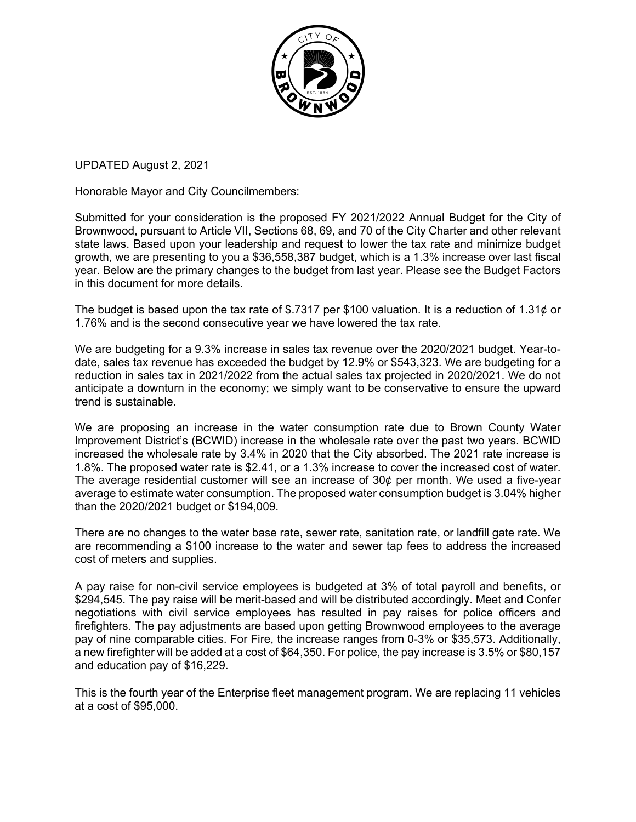

UPDATED August 2, 2021

Honorable Mayor and City Councilmembers:

Submitted for your consideration is the proposed FY 2021/2022 Annual Budget for the City of Brownwood, pursuant to Article VII, Sections 68, 69, and 70 of the City Charter and other relevant state laws. Based upon your leadership and request to lower the tax rate and minimize budget growth, we are presenting to you a \$36,558,387 budget, which is a 1.3% increase over last fiscal year. Below are the primary changes to the budget from last year. Please see the Budget Factors in this document for more details.

The budget is based upon the tax rate of \$.7317 per \$100 valuation. It is a reduction of 1.31 $\phi$  or 1.76% and is the second consecutive year we have lowered the tax rate.

We are budgeting for a 9.3% increase in sales tax revenue over the 2020/2021 budget. Year-todate, sales tax revenue has exceeded the budget by 12.9% or \$543,323. We are budgeting for a reduction in sales tax in 2021/2022 from the actual sales tax projected in 2020/2021. We do not anticipate a downturn in the economy; we simply want to be conservative to ensure the upward trend is sustainable.

We are proposing an increase in the water consumption rate due to Brown County Water Improvement District's (BCWID) increase in the wholesale rate over the past two years. BCWID increased the wholesale rate by 3.4% in 2020 that the City absorbed. The 2021 rate increase is 1.8%. The proposed water rate is \$2.41, or a 1.3% increase to cover the increased cost of water. The average residential customer will see an increase of  $30¢$  per month. We used a five-year average to estimate water consumption. The proposed water consumption budget is 3.04% higher than the 2020/2021 budget or \$194,009.

There are no changes to the water base rate, sewer rate, sanitation rate, or landfill gate rate. We are recommending a \$100 increase to the water and sewer tap fees to address the increased cost of meters and supplies.

A pay raise for non-civil service employees is budgeted at 3% of total payroll and benefits, or \$294,545. The pay raise will be merit-based and will be distributed accordingly. Meet and Confer negotiations with civil service employees has resulted in pay raises for police officers and firefighters. The pay adjustments are based upon getting Brownwood employees to the average pay of nine comparable cities. For Fire, the increase ranges from 0-3% or \$35,573. Additionally, a new firefighter will be added at a cost of \$64,350. For police, the pay increase is 3.5% or \$80,157 and education pay of \$16,229.

This is the fourth year of the Enterprise fleet management program. We are replacing 11 vehicles at a cost of \$95,000.